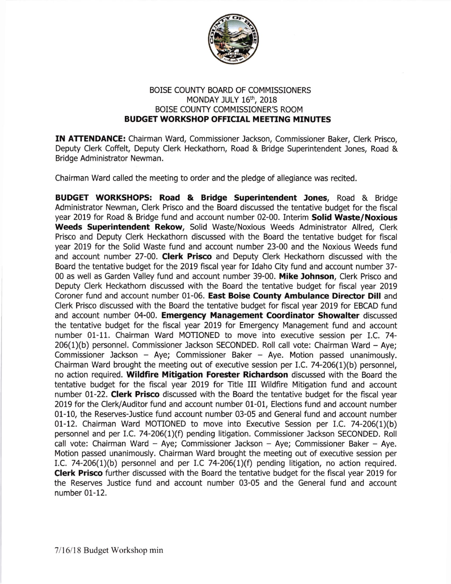

## BOISE COUNTY BOARD OF COMMISSIONERS MONDAY JULY 16th, 2018 BOISE COUNTY COMMISSIONER'S ROOM BUDGET WORKSHOP OFFICIAL MEETING MINUTES

IN ATTENDANCE: Chairman Ward, Commissioner Jackson, Commissioner Baker, Clerk Prisco, Deputy Clerk Coffelt, Deputy Clerk Heckathorn, Road & Bridge Superintendent Jones, Road & Bridge Administrator Newman.

Chairman Ward called the meeting to order and the pledge of allegiance was recited.

BUDGET WORKSHOPS: Road & Bridge Superintendent Jones, Road & Bridge Administrator Newman, Clerk Prisco and the Board discussed the tentative budget for the fiscal year 2019 for Road & Bridge fund and account number 02-00. Interim Solid Waste/Noxious Weeds Superintendent Rekow, Solid Waste/Noxious Weeds Administrator Allred, Clerk Prisco and Deputy Clerk Heckathorn discussed with the Board the tentative budget for fiscal year 2019 for the Solid Waste fund and account number 23-00 and the Noxious Weeds fund and account number 27-00. Clerk Prisco and Deputy Clerk Heckathorn discussed with the Board the tentative budget for the 2019 fiscal year for Idaho City fund and account number 37- 00 as well as Garden Valley fund and account number 39-00. Mike Johnson, Clerk Prisco and Deputy Clerk Heckathorn discussed with the Board the tentative budget for fiscal year 2019 Coroner fund and account number 01-06. East Boise County Ambulance Director Dil! and Clerk Prisco discussed with the Board the tentative budget for fiscal year 2019 for EBCAD fund and account number 04-00. Emergency Management Coordinator Showalter discussed the tentative budget for the fiscal year 2019 for Emergency Management fund and account number 01-11. Chairman Ward MOTIONED to move into executive session per LC. 74-  $206(1)(b)$  personnel. Commissioner Jackson SECONDED. Roll call vote: Chairman Ward - Aye; Commissioner Jackson - Aye; Commissioner Baker - Aye. Motion passed unanimously. Chairman Ward brought the meeting out of executive session per I.C.  $74-206(1)(b)$  personnel, no action required. Wildfire Mitigation Forester Richardson discussed with the Board the tentative budget for the fiscal year 2019 for Title III Wildfire Mitigation fund and account number 01-22. Clerk Prisco discussed with the Board the tentative budget for the fiscal year 2019 for the Clerk/Auditor fund and account number 01-01, Elections fund and account number 01-10, the Reserues-Justice fund account number 03-05 and General fund and account number 01-12. Chairman Ward MOTIONED to move into Executive Session per I.C. 74-206(1)(b) personnel and per I.C. 74-206(1)(f) pending litigation. Commissioner Jackson SECONDED. Roll call vote: Chairman Ward - Aye; Commissioner Jackson - Aye; Commissioner Baker - Aye. Motion passed unanimously. Chairman Ward brought the meeting out of executive session per I.C. 74-206(1)(b) personnel and per I.C 74-206(1)(f) pending litigation, no action required. Clerk Prisco further discussed with the Board the tentative budget for the fiscal year 2019 for the Reserves Justice fund and account number 03-05 and the General fund and account number 01-12.